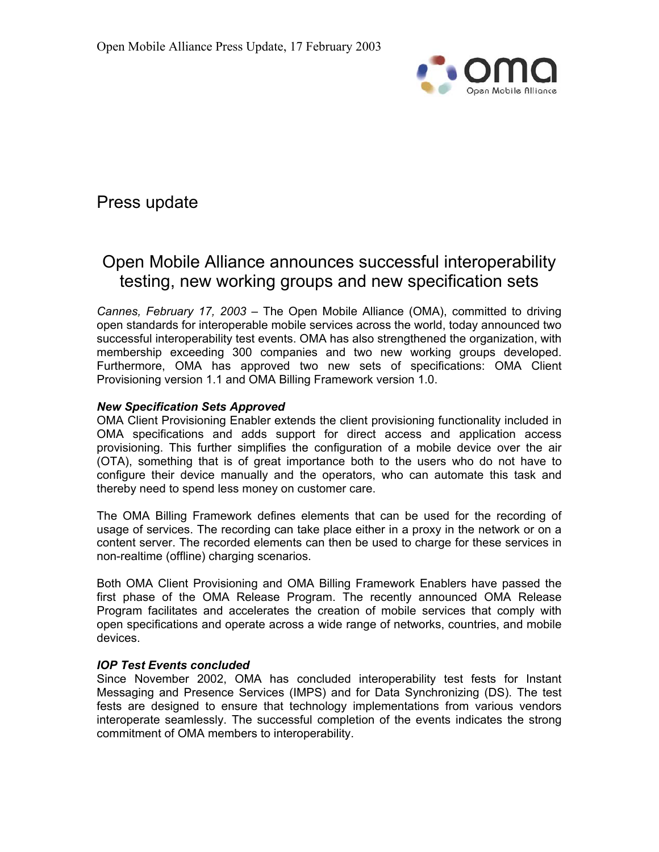

# Press update

# Open Mobile Alliance announces successful interoperability testing, new working groups and new specification sets

*Cannes, February 17, 2003* – The Open Mobile Alliance (OMA), committed to driving open standards for interoperable mobile services across the world, today announced two successful interoperability test events. OMA has also strengthened the organization, with membership exceeding 300 companies and two new working groups developed. Furthermore, OMA has approved two new sets of specifications: OMA Client Provisioning version 1.1 and OMA Billing Framework version 1.0.

### *New Specification Sets Approved*

OMA Client Provisioning Enabler extends the client provisioning functionality included in OMA specifications and adds support for direct access and application access provisioning. This further simplifies the configuration of a mobile device over the air (OTA), something that is of great importance both to the users who do not have to configure their device manually and the operators, who can automate this task and thereby need to spend less money on customer care.

The OMA Billing Framework defines elements that can be used for the recording of usage of services. The recording can take place either in a proxy in the network or on a content server. The recorded elements can then be used to charge for these services in non-realtime (offline) charging scenarios.

Both OMA Client Provisioning and OMA Billing Framework Enablers have passed the first phase of the OMA Release Program. The recently announced OMA Release Program facilitates and accelerates the creation of mobile services that comply with open specifications and operate across a wide range of networks, countries, and mobile devices.

### *IOP Test Events concluded*

Since November 2002, OMA has concluded interoperability test fests for Instant Messaging and Presence Services (IMPS) and for Data Synchronizing (DS). The test fests are designed to ensure that technology implementations from various vendors interoperate seamlessly. The successful completion of the events indicates the strong commitment of OMA members to interoperability.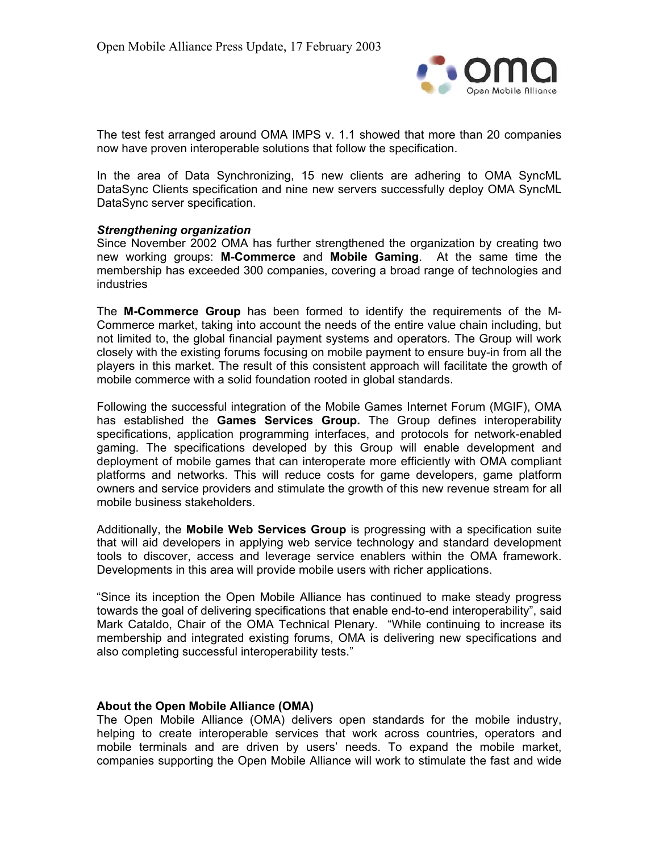

The test fest arranged around OMA IMPS v. 1.1 showed that more than 20 companies now have proven interoperable solutions that follow the specification.

In the area of Data Synchronizing, 15 new clients are adhering to OMA SyncML DataSync Clients specification and nine new servers successfully deploy OMA SyncML DataSync server specification.

#### *Strengthening organization*

Since November 2002 OMA has further strengthened the organization by creating two new working groups: **M-Commerce** and **Mobile Gaming**. At the same time the membership has exceeded 300 companies, covering a broad range of technologies and industries

The **M-Commerce Group** has been formed to identify the requirements of the M-Commerce market, taking into account the needs of the entire value chain including, but not limited to, the global financial payment systems and operators. The Group will work closely with the existing forums focusing on mobile payment to ensure buy-in from all the players in this market. The result of this consistent approach will facilitate the growth of mobile commerce with a solid foundation rooted in global standards.

Following the successful integration of the Mobile Games Internet Forum (MGIF), OMA has established the **Games Services Group.** The Group defines interoperability specifications, application programming interfaces, and protocols for network-enabled gaming. The specifications developed by this Group will enable development and deployment of mobile games that can interoperate more efficiently with OMA compliant platforms and networks. This will reduce costs for game developers, game platform owners and service providers and stimulate the growth of this new revenue stream for all mobile business stakeholders.

Additionally, the **Mobile Web Services Group** is progressing with a specification suite that will aid developers in applying web service technology and standard development tools to discover, access and leverage service enablers within the OMA framework. Developments in this area will provide mobile users with richer applications.

"Since its inception the Open Mobile Alliance has continued to make steady progress towards the goal of delivering specifications that enable end-to-end interoperability", said Mark Cataldo, Chair of the OMA Technical Plenary. "While continuing to increase its membership and integrated existing forums, OMA is delivering new specifications and also completing successful interoperability tests."

### **About the Open Mobile Alliance (OMA)**

The Open Mobile Alliance (OMA) delivers open standards for the mobile industry, helping to create interoperable services that work across countries, operators and mobile terminals and are driven by users' needs. To expand the mobile market, companies supporting the Open Mobile Alliance will work to stimulate the fast and wide